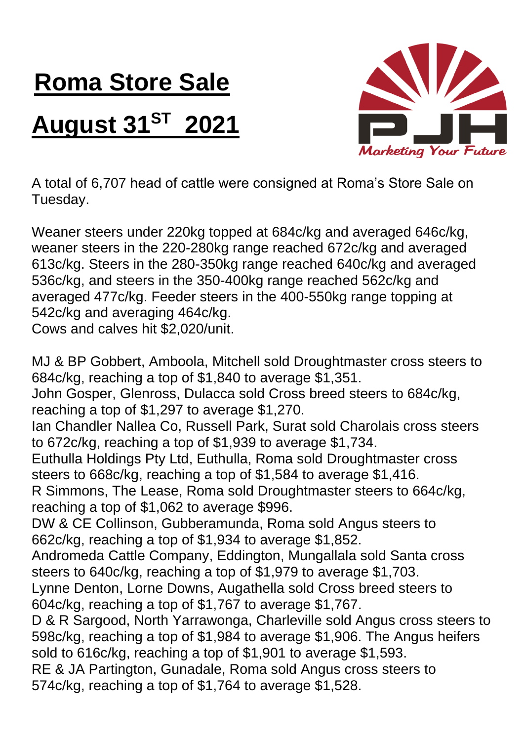## **Roma Store Sale**

## **August 31ST 2021**



A total of 6,707 head of cattle were consigned at Roma's Store Sale on Tuesday.

Weaner steers under 220kg topped at 684c/kg and averaged 646c/kg, weaner steers in the 220-280kg range reached 672c/kg and averaged 613c/kg. Steers in the 280-350kg range reached 640c/kg and averaged 536c/kg, and steers in the 350-400kg range reached 562c/kg and averaged 477c/kg. Feeder steers in the 400-550kg range topping at 542c/kg and averaging 464c/kg.

Cows and calves hit \$2,020/unit.

MJ & BP Gobbert, Amboola, Mitchell sold Droughtmaster cross steers to 684c/kg, reaching a top of \$1,840 to average \$1,351. John Gosper, Glenross, Dulacca sold Cross breed steers to 684c/kg, reaching a top of \$1,297 to average \$1,270. Ian Chandler Nallea Co, Russell Park, Surat sold Charolais cross steers to 672c/kg, reaching a top of \$1,939 to average \$1,734. Euthulla Holdings Pty Ltd, Euthulla, Roma sold Droughtmaster cross steers to 668c/kg, reaching a top of \$1,584 to average \$1,416. R Simmons, The Lease, Roma sold Droughtmaster steers to 664c/kg, reaching a top of \$1,062 to average \$996. DW & CE Collinson, Gubberamunda, Roma sold Angus steers to 662c/kg, reaching a top of \$1,934 to average \$1,852. Andromeda Cattle Company, Eddington, Mungallala sold Santa cross steers to 640c/kg, reaching a top of \$1,979 to average \$1,703. Lynne Denton, Lorne Downs, Augathella sold Cross breed steers to 604c/kg, reaching a top of \$1,767 to average \$1,767. D & R Sargood, North Yarrawonga, Charleville sold Angus cross steers to 598c/kg, reaching a top of \$1,984 to average \$1,906. The Angus heifers sold to 616c/kg, reaching a top of \$1,901 to average \$1,593. RE & JA Partington, Gunadale, Roma sold Angus cross steers to 574c/kg, reaching a top of \$1,764 to average \$1,528.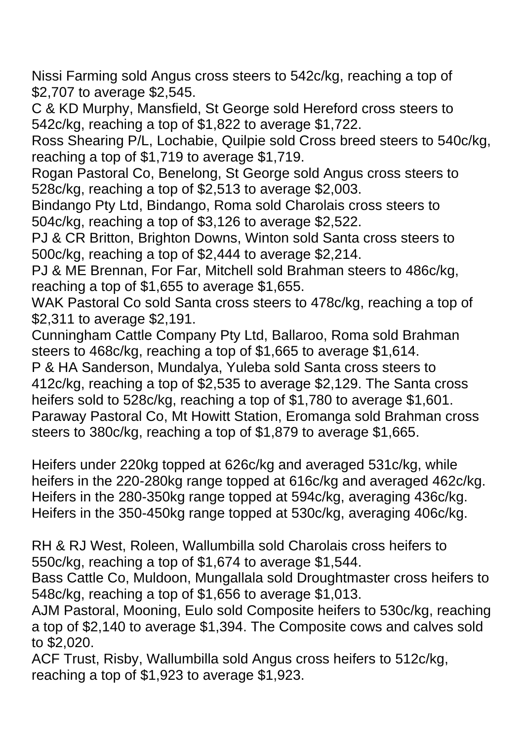Nissi Farming sold Angus cross steers to 542c/kg, reaching a top of \$2,707 to average \$2,545.

C & KD Murphy, Mansfield, St George sold Hereford cross steers to 542c/kg, reaching a top of \$1,822 to average \$1,722.

Ross Shearing P/L, Lochabie, Quilpie sold Cross breed steers to 540c/kg, reaching a top of \$1,719 to average \$1,719.

Rogan Pastoral Co, Benelong, St George sold Angus cross steers to 528c/kg, reaching a top of \$2,513 to average \$2,003.

Bindango Pty Ltd, Bindango, Roma sold Charolais cross steers to 504c/kg, reaching a top of \$3,126 to average \$2,522.

PJ & CR Britton, Brighton Downs, Winton sold Santa cross steers to 500c/kg, reaching a top of \$2,444 to average \$2,214.

PJ & ME Brennan, For Far, Mitchell sold Brahman steers to 486c/kg, reaching a top of \$1,655 to average \$1,655.

WAK Pastoral Co sold Santa cross steers to 478c/kg, reaching a top of \$2,311 to average \$2,191.

Cunningham Cattle Company Pty Ltd, Ballaroo, Roma sold Brahman steers to 468c/kg, reaching a top of \$1,665 to average \$1,614.

P & HA Sanderson, Mundalya, Yuleba sold Santa cross steers to 412c/kg, reaching a top of \$2,535 to average \$2,129. The Santa cross heifers sold to 528c/kg, reaching a top of \$1,780 to average \$1,601. Paraway Pastoral Co, Mt Howitt Station, Eromanga sold Brahman cross steers to 380c/kg, reaching a top of \$1,879 to average \$1,665.

Heifers under 220kg topped at 626c/kg and averaged 531c/kg, while heifers in the 220-280kg range topped at 616c/kg and averaged 462c/kg. Heifers in the 280-350kg range topped at 594c/kg, averaging 436c/kg. Heifers in the 350-450kg range topped at 530c/kg, averaging 406c/kg.

RH & RJ West, Roleen, Wallumbilla sold Charolais cross heifers to 550c/kg, reaching a top of \$1,674 to average \$1,544.

Bass Cattle Co, Muldoon, Mungallala sold Droughtmaster cross heifers to 548c/kg, reaching a top of \$1,656 to average \$1,013.

AJM Pastoral, Mooning, Eulo sold Composite heifers to 530c/kg, reaching a top of \$2,140 to average \$1,394. The Composite cows and calves sold to \$2,020.

ACF Trust, Risby, Wallumbilla sold Angus cross heifers to 512c/kg, reaching a top of \$1,923 to average \$1,923.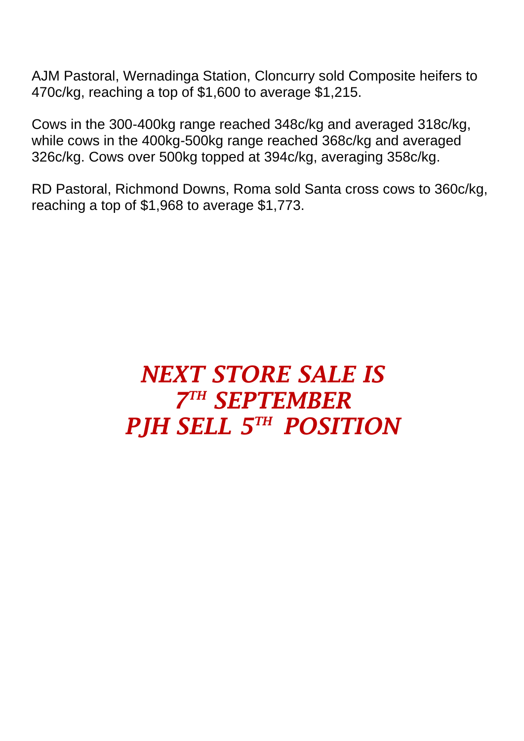AJM Pastoral, Wernadinga Station, Cloncurry sold Composite heifers to 470c/kg, reaching a top of \$1,600 to average \$1,215.

Cows in the 300-400kg range reached 348c/kg and averaged 318c/kg, while cows in the 400kg-500kg range reached 368c/kg and averaged 326c/kg. Cows over 500kg topped at 394c/kg, averaging 358c/kg.

RD Pastoral, Richmond Downs, Roma sold Santa cross cows to 360c/kg, reaching a top of \$1,968 to average \$1,773.

## *NEXT STORE SALE IS 7 TH SEPTEMBER PJH SELL 5 TH POSITION*